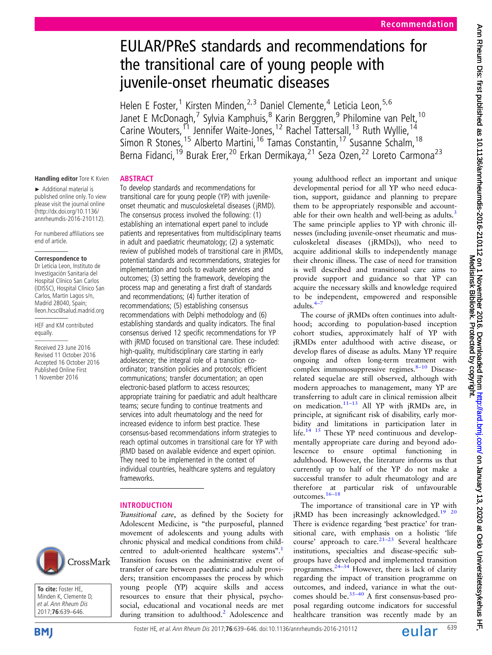## EULAR/PReS standards and recommendations for the transitional care of young people with juvenile-onset rheumatic diseases

Helen E Foster,<sup>1</sup> Kirsten Minden,<sup>2,3</sup> Daniel Clemente,<sup>4</sup> Leticia Leon,<sup>5,6</sup> Janet E McDonagh,<sup>7</sup> Sylvia Kamphuis,<sup>8</sup> Karin Berggren,<sup>9</sup> Philomine van Pelt,<sup>10</sup> Carine Wouters,<sup>11</sup> Jennifer Waite-Jones,<sup>12</sup> Rachel Tattersall,<sup>13</sup> Ruth Wyllie,<sup>14</sup> Simon R Stones,<sup>15</sup> Alberto Martini,<sup>16</sup> Tamas Constantin,<sup>17</sup> Susanne Schalm,<sup>18</sup> Berna Fidanci,<sup>19</sup> Burak Erer,<sup>20</sup> Erkan Dermikaya,<sup>21</sup> Seza Ozen,<sup>22</sup> Loreto Carmona<sup>23</sup>

#### **Handling editor** Tore K Kvien

**ABSTRACT** 

frameworks.

INTRODUCTION

Transitional care, as defined by the Society for Adolescent Medicine, is "the purposeful, planned movement of adolescents and young adults with chronic physical and medical conditions from child-centred to adult-oriented healthcare systems".<sup>[1](#page-6-0)</sup> Transition focuses on the administrative event of transfer of care between paediatric and adult providers; transition encompasses the process by which young people (YP) acquire skills and access resources to ensure that their physical, psychosocial, educational and vocational needs are met during transition to adulthood.<sup>[2](#page-6-0)</sup> Adolescence and

onset rheumatic and musculoskeletal diseases ( jRMD). The consensus process involved the following: (1) establishing an international expert panel to include patients and representatives from multidisciplinary teams in adult and paediatric rheumatology; (2) a systematic review of published models of transitional care in jRMDs, potential standards and recommendations, strategies for implementation and tools to evaluate services and outcomes; (3) setting the framework, developing the process map and generating a first draft of standards and recommendations; (4) further iteration of recommendations; (5) establishing consensus recommendations with Delphi methodology and (6) establishing standards and quality indicators. The final consensus derived 12 specific recommendations for YP with jRMD focused on transitional care. These included: high-quality, multidisciplinary care starting in early adolescence; the integral role of a transition coordinator; transition policies and protocols; efficient communications; transfer documentation; an open electronic-based platform to access resources; appropriate training for paediatric and adult healthcare teams; secure funding to continue treatments and services into adult rheumatology and the need for increased evidence to inform best practice. These consensus-based recommendations inform strategies to reach optimal outcomes in transitional care for YP with jRMD based on available evidence and expert opinion. They need to be implemented in the context of individual countries, healthcare systems and regulatory

► Additional material is published online only. To view please visit the journal online (http://dx.doi.org/10.1136/ annrheumdis-2016-210112).

For numbered affiliations see end of article.

#### **Correspondence to**

Dr Leticia Leon, Instituto de Investigación Sanitaria del Hospital Clínico San Carlos (IDISSC), Hospital Clínico San Carlos, Martin Lagos s/n, Madrid 28040, Spain; lleon.hcsc@salud.madrid.org

HEF and KM contributed equally.

Received 23 June 2016 Revised 11 October 2016 Accepted 16 October 2016 Published Online First 1 November 2016



**To cite:** Foster HE, Minden K, Clemente D, et al. Ann Rheum Dis 2017;**76**:639–646.

# To develop standards and recommendations for transitional care for young people (YP) with juvenileyoung adulthood reflect an important and unique

developmental period for all YP who need education, support, guidance and planning to prepare them to be appropriately responsible and account-able for their own health and well-being as adults.<sup>[3](#page-6-0)</sup> The same principle applies to YP with chronic illnesses (including juvenile-onset rheumatic and musculoskeletal diseases ( jRMDs)), who need to acquire additional skills to independently manage their chronic illness. The case of need for transition is well described and transitional care aims to provide support and guidance so that YP can acquire the necessary skills and knowledge required to be independent, empowered and responsible adults.[4](#page-6-0)–<sup>7</sup>

The course of jRMDs often continues into adulthood; according to population-based inception cohort studies, approximately half of YP with jRMDs enter adulthood with active disease, or develop flares of disease as adults. Many YP require ongoing and often long-term treatment with complex immunosuppressive regimes.<sup>8-[10](#page-6-0)</sup> Diseaserelated sequelae are still observed, although with modern approaches to management, many YP are transferring to adult care in clinical remission albeit on medication[.11](#page-6-0)–<sup>13</sup> All YP with jRMDs are, in principle, at significant risk of disability, early morbidity and limitations in participation later in life.<sup>14</sup> <sup>15</sup> These YP need continuous and developmentally appropriate care during and beyond adolescence to ensure optimal functioning in adulthood. However, the literature informs us that currently up to half of the YP do not make a successful transfer to adult rheumatology and are therefore at particular risk of unfavourable outcomes[.16](#page-6-0)–<sup>18</sup> **ILARIPRESstandards and recommendations for<br>
Etransitional care of young people with<br>
termine is a standard standard standard standard in the standard in the<br>
termine is a standard standard in the standard standard in th** 

The importance of transitional care in YP with jRMD has been increasingly acknowledged.<sup>19</sup> <sup>20</sup> There is evidence regarding 'best practice' for transitional care, with emphasis on a holistic 'life course' approach to care. $21-23$  $21-23$  Several healthcare institutions, specialties and disease-specific subgroups have developed and implemented transition programmes.[24](#page-6-0)–<sup>34</sup> However, there is lack of clarity regarding the impact of transition programme on outcomes, and indeed, variance in what the out-comes should be.<sup>[35](#page-6-0)-40</sup> A first consensus-based proposal regarding outcome indicators for successful healthcare transition was recently made by an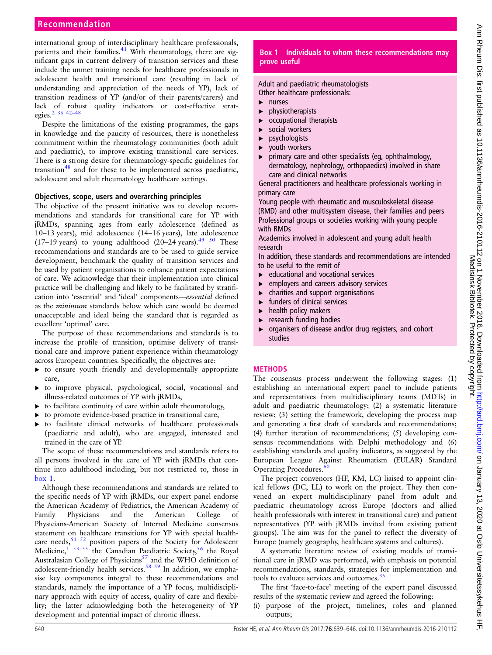#### **Recommendation**

international group of interdisciplinary healthcare professionals, patients and their families.<sup>41</sup> With rheumatology, there are significant gaps in current delivery of transition services and these include the unmet training needs for healthcare professionals in adolescent health and transitional care (resulting in lack of understanding and appreciation of the needs of YP), lack of transition readiness of YP (and/or of their parents/carers) and lack of robust quality indicators or cost-effective strategies.[2 36 42](#page-6-0)–<sup>48</sup>

Despite the limitations of the existing programmes, the gaps in knowledge and the paucity of resources, there is nonetheless commitment within the rheumatology communities (both adult and paediatric), to improve existing transitional care services. There is a strong desire for rheumatology-specific guidelines for transition $48$  and for these to be implemented across paediatric, adolescent and adult rheumatology healthcare settings.

#### Objectives, scope, users and overarching principles

The objective of the present initiative was to develop recommendations and standards for transitional care for YP with jRMDs, spanning ages from early adolescence (defined as 10–13 years), mid adolescence (14–16 years), late adolescence (17–19 years) to young adulthood (20–24 years). $49\frac{50}{1}$  These recommendations and standards are to be used to guide service development, benchmark the quality of transition services and be used by patient organisations to enhance patient expectations of care. We acknowledge that their implementation into clinical practice will be challenging and likely to be facilitated by stratification into 'essential' and 'ideal' components—essential defined as the minimum standards below which care would be deemed unacceptable and ideal being the standard that is regarded as excellent 'optimal' care.

The purpose of these recommendations and standards is to increase the profile of transition, optimise delivery of transitional care and improve patient experience within rheumatology across European countries. Specifically, the objectives are:

- ▸ to ensure youth friendly and developmentally appropriate care,
- to improve physical, psychological, social, vocational and illness-related outcomes of YP with jRMDs,
- $\triangleright$  to facilitate continuity of care within adult rheumatology,
- ▸ to promote evidence-based practice in transitional care,
- ▸ to facilitate clinical networks of healthcare professionals (paediatric and adult), who are engaged, interested and trained in the care of YP.

The scope of these recommendations and standards refers to all persons involved in the care of YP with jRMDs that continue into adulthood including, but not restricted to, those in box 1.

Although these recommendations and standards are related to the specific needs of YP with jRMDs, our expert panel endorse the American Academy of Pediatrics, the American Academy of Family Physicians and the American College of Physicians-American Society of Internal Medicine consensus statement on healthcare transitions for YP with special healthcare needs,  $51 \times 52$  position papers of the Society for Adolescent Medicine,<sup>1 [53](#page-7-0)-55</sup> the Canadian Paediatric Society,<sup>[56](#page-7-0)</sup> the Royal Australasian College of Physicians<sup>[57](#page-7-0)</sup> and the WHO definition of adolescent-friendly health services.<sup>[58 59](#page-7-0)</sup> In addition, we emphasise key components integral to these recommendations and standards, namely the importance of a YP focus, multidisciplinary approach with equity of access, quality of care and flexibility; the latter acknowledging both the heterogeneity of YP development and potential impact of chronic illness.

#### Box 1 Individuals to whom these recommendations may prove useful

#### Adult and paediatric rheumatologists Other healthcare professionals:

- ▸ nurses
- ▸ physiotherapists
- ▸ occupational therapists
- ▸ social workers
- ▸ psychologists
- youth workers
- primary care and other specialists (eq, ophthalmology, dermatology, nephrology, orthopaedics) involved in share care and clinical networks

General practitioners and healthcare professionals working in primary care

Young people with rheumatic and musculoskeletal disease (RMD) and other multisystem disease, their families and peers Professional groups or societies working with young people with RMDs

Academics involved in adolescent and young adult health research

In addition, these standards and recommendations are intended to be useful to the remit of

- ▸ educational and vocational services
- $\blacktriangleright$  employers and careers advisory services
- $\blacktriangleright$  charities and support organisations
- $\blacktriangleright$  funders of clinical services
- $\blacktriangleright$  health policy makers
- research funding bodies
- ▸ organisers of disease and/or drug registers, and cohort studies

#### **METHODS**

The consensus process underwent the following stages: (1) establishing an international expert panel to include patients and representatives from multidisciplinary teams (MDTs) in adult and paediatric rheumatology; (2) a systematic literature review; (3) setting the framework, developing the process map and generating a first draft of standards and recommendations; (4) further iteration of recommendations; (5) developing consensus recommendations with Delphi methodology and (6) establishing standards and quality indicators, as suggested by the European League Against Rheumatism (EULAR) Standard Operating Procedures.<sup>6</sup>

The project convenors (HF, KM, LC) liaised to appoint clinical fellows (DC, LL) to work on the project. They then convened an expert multidisciplinary panel from adult and paediatric rheumatology across Europe (doctors and allied health professionals with interest in transitional care) and patient representatives (YP with jRMDs invited from existing patient groups). The aim was for the panel to reflect the diversity of Europe (namely geography, healthcare systems and cultures).

A systematic literature review of existing models of transitional care in jRMD was performed, with emphasis on potential recommendations, standards, strategies for implementation and tools to evaluate services and outcomes.<sup>35</sup>

The first 'face-to-face' meeting of the expert panel discussed results of the systematic review and agreed the following:

(i) purpose of the project, timelines, roles and planned outputs;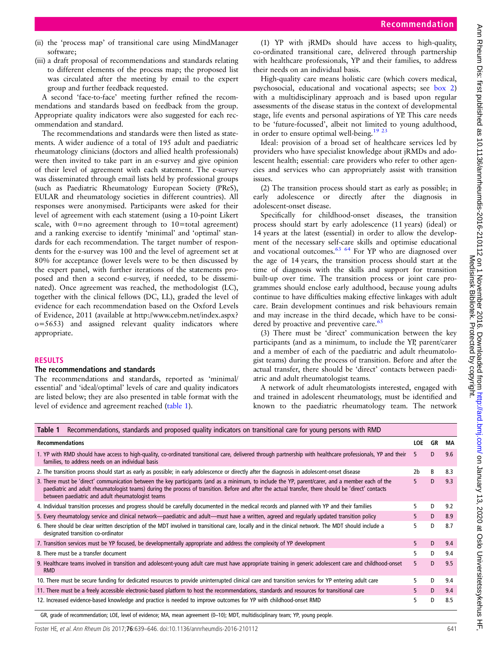Ann Pheum Dis: first published as 10.1136/annrheumdis-2016-210112 on 1 November 2016. Downloaded from nhttp://ard.bm/ on January 13, 2020 at Oslo Universitetssykehus HF,

- (ii) the 'process map' of transitional care using MindManager software;
- (iii) a draft proposal of recommendations and standards relating to different elements of the process map; the proposed list was circulated after the meeting by email to the expert group and further feedback requested.

A second 'face-to-face' meeting further refined the recommendations and standards based on feedback from the group. Appropriate quality indicators were also suggested for each recommendation and standard.

The recommendations and standards were then listed as statements. A wider audience of a total of 195 adult and paediatric rheumatology clinicians (doctors and allied health professionals) were then invited to take part in an e-survey and give opinion of their level of agreement with each statement. The e-survey was disseminated through email lists held by professional groups (such as Paediatric Rheumatology European Society (PReS), EULAR and rheumatology societies in different countries). All responses were anonymised. Participants were asked for their level of agreement with each statement (using a 10-point Likert scale, with  $0=$  no agreement through to  $10=$  total agreement) and a ranking exercise to identify 'minimal' and 'optimal' standards for each recommendation. The target number of respondents for the e-survey was 100 and the level of agreement set at 80% for acceptance (lower levels were to be then discussed by the expert panel, with further iterations of the statements proposed and then a second e-survey, if needed, to be disseminated). Once agreement was reached, the methodologist (LC), together with the clinical fellows (DC, LL), graded the level of evidence for each recommendation based on the Oxford Levels of Evidence, 2011 (available at [http://www.cebm.net/index.aspx?](http://www.cebm.net/index.aspx?o=5653) [o=5653](http://www.cebm.net/index.aspx?o=5653)) and assigned relevant quality indicators where appropriate.

#### **RESULTS**

#### The recommendations and standards

(1) YP with jRMDs should have access to high-quality, co-ordinated transitional care, delivered through partnership with healthcare professionals, YP and their families, to address their needs on an individual basis.

High-quality care means holistic care (which covers medical, psychosocial, educational and vocational aspects; see [box 2](#page-3-0)) with a multidisciplinary approach and is based upon regular assessments of the disease status in the context of developmental stage, life events and personal aspirations of YP. This care needs to be 'future-focussed', albeit not limited to young adulthood, in order to ensure optimal well-being.<sup>[19 23](#page-6-0)</sup>

Ideal: provision of a broad set of healthcare services led by providers who have specialist knowledge about jRMDs and adolescent health; essential: care providers who refer to other agencies and services who can appropriately assist with transition issues.

(2) The transition process should start as early as possible; in early adolescence or directly after the diagnosis in adolescent-onset disease.

Specifically for childhood-onset diseases, the transition process should start by early adolescence (11 years) (ideal) or 14 years at the latest (essential) in order to allow the development of the necessary self-care skills and optimise educational and vocational outcomes.<sup>[63 64](#page-7-0)</sup> For YP who are diagnosed over the age of 14 years, the transition process should start at the time of diagnosis with the skills and support for transition built-up over time. The transition process or joint care programmes should enclose early adulthood, because young adults continue to have difficulties making effective linkages with adult care. Brain development continues and risk behaviours remain and may increase in the third decade, which have to be consi-dered by proactive and preventive care.<sup>[65](#page-7-0)</sup>

| 80% for acceptance (lower levels were to be then discussed by<br>the age of 14 years, the transition process should start at the<br>the expert panel, with further iterations of the statements pro-<br>time of diagnosis with the skills and support for transition<br>posed and then a second e-survey, if needed, to be dissemi-<br>built-up over time. The transition process or joint care pro-<br>nated). Once agreement was reached, the methodologist (LC),<br>grammes should enclose early adulthood, because young adults<br>together with the clinical fellows (DC, LL), graded the level of<br>continue to have difficulties making effective linkages with adult<br>evidence for each recommendation based on the Oxford Levels<br>care. Brain development continues and risk behaviours remain<br>of Evidence, 2011 (available at http://www.cebm.net/index.aspx?<br>and may increase in the third decade, which have to be consi-<br>dered by proactive and preventive care. <sup>65</sup><br>o=5653) and assigned relevant quality indicators where<br>(3) There must be 'direct' communication between the key<br>appropriate.<br>participants (and as a minimum, to include the YP, parent/carer<br>and a member of each of the paediatric and adult rheumatolo-<br>gist teams) during the process of transition. Before and after the<br><b>RESULTS</b><br>The recommendations and standards<br>actual transfer, there should be 'direct' contacts between paedi-<br>The recommendations and standards, reported as 'minimal/<br>atric and adult rheumatologist teams.<br>essential' and 'ideal/optimal' levels of care and quality indicators<br>A network of adult rheumatologists interested, engaged with<br>are listed below; they are also presented in table format with the<br>and trained in adolescent rheumatology, must be identified and<br>level of evidence and agreement reached (table 1).<br>known to the paediatric rheumatology team. The network |  |     |    |     |
|------------------------------------------------------------------------------------------------------------------------------------------------------------------------------------------------------------------------------------------------------------------------------------------------------------------------------------------------------------------------------------------------------------------------------------------------------------------------------------------------------------------------------------------------------------------------------------------------------------------------------------------------------------------------------------------------------------------------------------------------------------------------------------------------------------------------------------------------------------------------------------------------------------------------------------------------------------------------------------------------------------------------------------------------------------------------------------------------------------------------------------------------------------------------------------------------------------------------------------------------------------------------------------------------------------------------------------------------------------------------------------------------------------------------------------------------------------------------------------------------------------------------------------------------------------------------------------------------------------------------------------------------------------------------------------------------------------------------------------------------------------------------------------------------------------------------------------------------------------------------------------------------------------------------------------------------------------------------------------------|--|-----|----|-----|
| Recommendations, standards and proposed quality indicators on transitional care for young persons with RMD<br>Table 1                                                                                                                                                                                                                                                                                                                                                                                                                                                                                                                                                                                                                                                                                                                                                                                                                                                                                                                                                                                                                                                                                                                                                                                                                                                                                                                                                                                                                                                                                                                                                                                                                                                                                                                                                                                                                                                                    |  |     |    |     |
| <b>Recommendations</b>                                                                                                                                                                                                                                                                                                                                                                                                                                                                                                                                                                                                                                                                                                                                                                                                                                                                                                                                                                                                                                                                                                                                                                                                                                                                                                                                                                                                                                                                                                                                                                                                                                                                                                                                                                                                                                                                                                                                                                   |  | LOE | GR | МA  |
| 1. YP with RMD should have access to high-quality, co-ordinated transitional care, delivered through partnership with healthcare professionals, YP and their<br>families, to address needs on an individual basis                                                                                                                                                                                                                                                                                                                                                                                                                                                                                                                                                                                                                                                                                                                                                                                                                                                                                                                                                                                                                                                                                                                                                                                                                                                                                                                                                                                                                                                                                                                                                                                                                                                                                                                                                                        |  | 5   | D  | 9.6 |
| 2. The transition process should start as early as possible; in early adolescence or directly after the diagnosis in adolescent-onset disease                                                                                                                                                                                                                                                                                                                                                                                                                                                                                                                                                                                                                                                                                                                                                                                                                                                                                                                                                                                                                                                                                                                                                                                                                                                                                                                                                                                                                                                                                                                                                                                                                                                                                                                                                                                                                                            |  |     | B  | 8.3 |
| 3. There must be 'direct' communication between the key participants (and as a minimum, to include the YP, parent/carer, and a member each of the<br>paediatric and adult rheumatologist teams) during the process of transition. Before and after the actual transfer, there should be 'direct' contacts<br>between paediatric and adult rheumatologist teams                                                                                                                                                                                                                                                                                                                                                                                                                                                                                                                                                                                                                                                                                                                                                                                                                                                                                                                                                                                                                                                                                                                                                                                                                                                                                                                                                                                                                                                                                                                                                                                                                           |  | 5   | D  | 9.3 |
| 4. Individual transition processes and progress should be carefully documented in the medical records and planned with YP and their families                                                                                                                                                                                                                                                                                                                                                                                                                                                                                                                                                                                                                                                                                                                                                                                                                                                                                                                                                                                                                                                                                                                                                                                                                                                                                                                                                                                                                                                                                                                                                                                                                                                                                                                                                                                                                                             |  |     | D  | 9.2 |
| 5. Every rheumatology service and clinical network-paediatric and adult-must have a written, agreed and regularly updated transition policy                                                                                                                                                                                                                                                                                                                                                                                                                                                                                                                                                                                                                                                                                                                                                                                                                                                                                                                                                                                                                                                                                                                                                                                                                                                                                                                                                                                                                                                                                                                                                                                                                                                                                                                                                                                                                                              |  |     | D  | 8.9 |
| 6. There should be clear written description of the MDT involved in transitional care, locally and in the clinical network. The MDT should include a<br>designated transition co-ordinator                                                                                                                                                                                                                                                                                                                                                                                                                                                                                                                                                                                                                                                                                                                                                                                                                                                                                                                                                                                                                                                                                                                                                                                                                                                                                                                                                                                                                                                                                                                                                                                                                                                                                                                                                                                               |  | 5   | D  | 8.7 |
| 7. Transition services must be YP focused, be developmentally appropriate and address the complexity of YP development                                                                                                                                                                                                                                                                                                                                                                                                                                                                                                                                                                                                                                                                                                                                                                                                                                                                                                                                                                                                                                                                                                                                                                                                                                                                                                                                                                                                                                                                                                                                                                                                                                                                                                                                                                                                                                                                   |  | 5   | D  | 9.4 |
| 8. There must be a transfer document                                                                                                                                                                                                                                                                                                                                                                                                                                                                                                                                                                                                                                                                                                                                                                                                                                                                                                                                                                                                                                                                                                                                                                                                                                                                                                                                                                                                                                                                                                                                                                                                                                                                                                                                                                                                                                                                                                                                                     |  | 5   | D  | 9.4 |
| 9. Healthcare teams involved in transition and adolescent-young adult care must have appropriate training in generic adolescent care and childhood-onset<br><b>RMD</b>                                                                                                                                                                                                                                                                                                                                                                                                                                                                                                                                                                                                                                                                                                                                                                                                                                                                                                                                                                                                                                                                                                                                                                                                                                                                                                                                                                                                                                                                                                                                                                                                                                                                                                                                                                                                                   |  | 5   | D  | 9.5 |
| 10. There must be secure funding for dedicated resources to provide uninterrupted clinical care and transition services for YP entering adult care                                                                                                                                                                                                                                                                                                                                                                                                                                                                                                                                                                                                                                                                                                                                                                                                                                                                                                                                                                                                                                                                                                                                                                                                                                                                                                                                                                                                                                                                                                                                                                                                                                                                                                                                                                                                                                       |  | 5   | D  | 9.4 |
| 11. There must be a freely accessible electronic-based platform to host the recommendations, standards and resources for transitional care                                                                                                                                                                                                                                                                                                                                                                                                                                                                                                                                                                                                                                                                                                                                                                                                                                                                                                                                                                                                                                                                                                                                                                                                                                                                                                                                                                                                                                                                                                                                                                                                                                                                                                                                                                                                                                               |  | 5   | D  | 9.4 |
| 12. Increased evidence-based knowledge and practice is needed to improve outcomes for YP with childhood-onset RMD                                                                                                                                                                                                                                                                                                                                                                                                                                                                                                                                                                                                                                                                                                                                                                                                                                                                                                                                                                                                                                                                                                                                                                                                                                                                                                                                                                                                                                                                                                                                                                                                                                                                                                                                                                                                                                                                        |  | 5   | D  | 8.5 |
| GR, grade of recommendation; LOE, level of evidence; MA, mean agreement (0-10); MDT, multidisciplinary team; YP, young people.                                                                                                                                                                                                                                                                                                                                                                                                                                                                                                                                                                                                                                                                                                                                                                                                                                                                                                                                                                                                                                                                                                                                                                                                                                                                                                                                                                                                                                                                                                                                                                                                                                                                                                                                                                                                                                                           |  |     |    |     |
| Foster HE, <i>et al. Ann Rheum Dis</i> 2017; <b>76</b> :639–646. doi:10.1136/annrheumdis-2016-210112                                                                                                                                                                                                                                                                                                                                                                                                                                                                                                                                                                                                                                                                                                                                                                                                                                                                                                                                                                                                                                                                                                                                                                                                                                                                                                                                                                                                                                                                                                                                                                                                                                                                                                                                                                                                                                                                                     |  |     |    | 641 |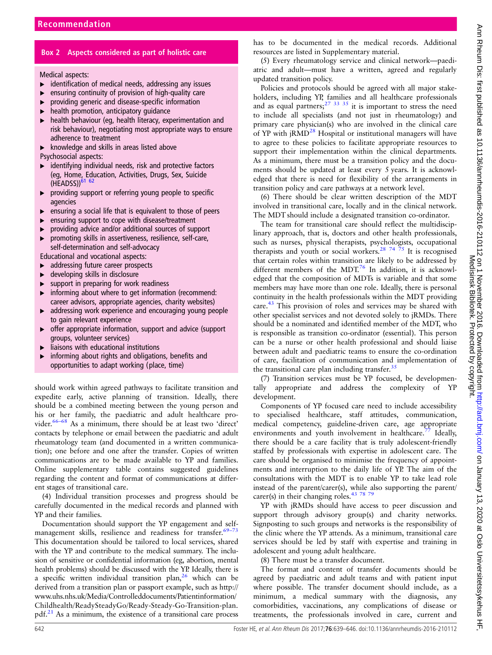#### <span id="page-3-0"></span>Box 2 Aspects considered as part of holistic care

Medical aspects:

- $\rightarrow$  identification of medical needs, addressing any issues
- ▸ ensuring continuity of provision of high-quality care
- ▸ providing generic and disease-specific information
- $\blacktriangleright$  health promotion, anticipatory quidance
- health behaviour (eg, health literacy, experimentation and risk behaviour), negotiating most appropriate ways to ensure adherence to treatment
- ▸ knowledge and skills in areas listed above

Psychosocial aspects:

- $\blacktriangleright$  identifying individual needs, risk and protective factors (eg, Home, Education, Activities, Drugs, Sex, Suicide  $(HEADSS))^{61}$  62
- ▶ providing support or referring young people to specific agencies
- $\triangleright$  ensuring a social life that is equivalent to those of peers
- $\blacktriangleright$  ensuring support to cope with disease/treatment
- ▸ providing advice and/or additional sources of support
- ▸ promoting skills in assertiveness, resilience, self-care, self-determination and self-advocacy

Educational and vocational aspects:

- ▸ addressing future career prospects
- developing skills in disclosure
- support in preparing for work readiness
- $\blacktriangleright$  informing about where to get information (recommend: career advisors, appropriate agencies, charity websites)
- ▸ addressing work experience and encouraging young people to gain relevant experience
- ▸ offer appropriate information, support and advice (support groups, volunteer services)
- liaisons with educational institutions
- informing about rights and obligations, benefits and opportunities to adapt working (place, time)

should work within agreed pathways to facilitate transition and expedite early, active planning of transition. Ideally, there should be a combined meeting between the young person and his or her family, the paediatric and adult healthcare pro-vider.<sup>66–[68](#page-7-0)</sup> As a minimum, there should be at least two 'direct' contacts by telephone or email between the paediatric and adult rheumatology team (and documented in a written communication); one before and one after the transfer. Copies of written communications are to be made available to YP and families. Online [supplementary table](http://dx.doi.org/10.1136/annrheumdis-2016-210112) contains suggested guidelines regarding the content and format of communications at different stages of transitional care.

(4) Individual transition processes and progress should be carefully documented in the medical records and planned with YP and their families.

Documentation should support the YP engagement and selfmanagement skills, resilience and readiness for transfer.  $69-73$  $69-73$ This documentation should be tailored to local services, shared with the YP and contribute to the medical summary. The inclusion of sensitive or confidential information (eg, abortion, mental health problems) should be discussed with the YP. Ideally, there is a specific written individual transition plan,  $^{26}$  $^{26}$  $^{26}$  which can be derived from a transition plan or passport example, such as [http://](http://www.uhs.nhs.uk/Media/Controlleddocuments/Patientinformation/Childhealth/ReadySteadyGo/Ready-Steady-Go-Transition-plan.pdf) [www.uhs.nhs.uk/Media/Controlleddocuments/Patientinformation/](http://www.uhs.nhs.uk/Media/Controlleddocuments/Patientinformation/Childhealth/ReadySteadyGo/Ready-Steady-Go-Transition-plan.pdf) [Childhealth/ReadySteadyGo/Ready-Steady-Go-Transition-plan.](http://www.uhs.nhs.uk/Media/Controlleddocuments/Patientinformation/Childhealth/ReadySteadyGo/Ready-Steady-Go-Transition-plan.pdf) [pdf](http://www.uhs.nhs.uk/Media/Controlleddocuments/Patientinformation/Childhealth/ReadySteadyGo/Ready-Steady-Go-Transition-plan.pdf). $^{21}$  As a minimum, the existence of a transitional care process

has to be documented in the medical records. Additional resources are listed in [Supplementary material](http://dx.doi.org/10.1136/annrheumdis-2016-210112).

(5) Every rheumatology service and clinical network—paediatric and adult—must have a written, agreed and regularly updated transition policy.

Policies and protocols should be agreed with all major stakeholders, including YP, families and all healthcare professionals and as equal partners;<sup>[27 33 35](#page-6-0)</sup> it is important to stress the need to include all specialists (and not just in rheumatology) and primary care physician(s) who are involved in the clinical care of  $YP$  with j $RMD<sup>28</sup>$  $RMD<sup>28</sup>$  $RMD<sup>28</sup>$  Hospital or institutional managers will have to agree to these policies to facilitate appropriate resources to support their implementation within the clinical departments. As a minimum, there must be a transition policy and the documents should be updated at least every 5 years. It is acknowledged that there is need for flexibility of the arrangements in transition policy and care pathways at a network level.

(6) There should be clear written description of the MDT involved in transitional care, locally and in the clinical network. The MDT should include a designated transition co-ordinator.

The team for transitional care should reflect the multidisciplinary approach, that is, doctors and other health professionals, such as nurses, physical therapists, psychologists, occupational therapists and youth or social workers.<sup>[28](#page-6-0) [74 75](#page-7-0)</sup> It is recognised that certain roles within transition are likely to be addressed by different members of the MDT.<sup>[76](#page-7-0)</sup> In addition, it is acknowledged that the composition of MDTs is variable and that some members may have more than one role. Ideally, there is personal continuity in the health professionals within the MDT providing care.<sup>[43](#page-6-0)</sup> This provision of roles and services may be shared with other specialist services and not devoted solely to jRMDs. There should be a nominated and identified member of the MDT, who is responsible as transition co-ordinator (essential). This person can be a nurse or other health professional and should liaise between adult and paediatric teams to ensure the co-ordination of care, facilitation of communication and implementation of the transitional care plan including transfer. $35$ 

(7) Transition services must be YP focused, be developmentally appropriate and address the complexity of YP development.

Components of YP focused care need to include accessibility to specialised healthcare, staff attitudes, communication, medical competency, guideline-driven care, age appropriate environments and youth involvement in healthcare.<sup>[77](#page-7-0)</sup> Ideally, there should be a care facility that is truly adolescent-friendly staffed by professionals with expertise in adolescent care. The care should be organised to minimise the frequency of appointments and interruption to the daily life of YP. The aim of the consultations with the MDT is to enable YP to take lead role instead of the parent/carer(s), while also supporting the parent/ carer(s) in their changing roles. $437879$  $437879$ 

YP with jRMDs should have access to peer discussion and support through advisory group(s) and charity networks. Signposting to such groups and networks is the responsibility of the clinic where the YP attends. As a minimum, transitional care services should be led by staff with expertise and training in adolescent and young adult healthcare.

(8) There must be a transfer document.

The format and content of transfer documents should be agreed by paediatric and adult teams and with patient input where possible. The transfer document should include, as a minimum, a medical summary with the diagnosis, any comorbidities, vaccinations, any complications of disease or treatments, the professionals involved in care, current and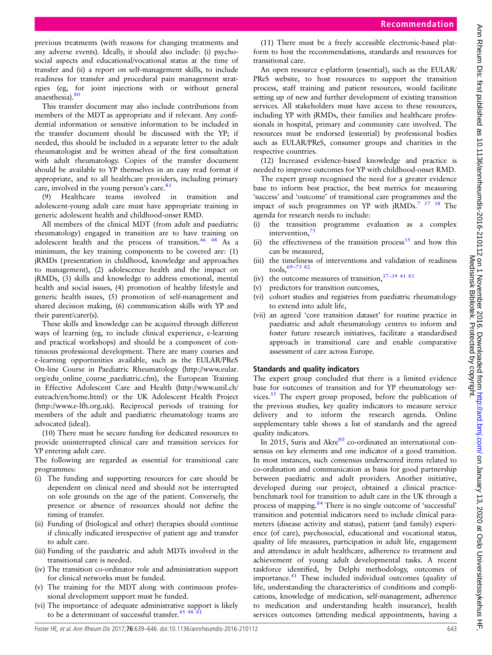previous treatments (with reasons for changing treatments and any adverse events). Ideally, it should also include: (i) psychosocial aspects and educational/vocational status at the time of transfer and (ii) a report on self-management skills, to include readiness for transfer and procedural pain management strategies (eg, for joint injections with or without general anaesthesia). [80](#page-7-0)

This transfer document may also include contributions from members of the MDT as appropriate and if relevant. Any confidential information or sensitive information to be included in the transfer document should be discussed with the YP; if needed, this should be included in a separate letter to the adult rheumatologist and be written ahead of the first consultation with adult rheumatology. Copies of the transfer document should be available to YP themselves in an easy read format if appropriate, and to all healthcare providers, including primary care, involved in the young person's care. $8$ 

(9) Healthcare teams involved in transition and adolescent-young adult care must have appropriate training in generic adolescent health and childhood-onset RMD.

All members of the clinical MDT (from adult and paediatric rheumatology) engaged in transition are to have training on adolescent health and the process of transition. $4648$  As a minimum, the key training components to be covered are: (1) jRMDs (presentation in childhood, knowledge and approaches to management), (2) adolescence health and the impact on jRMDs, (3) skills and knowledge to address emotional, mental health and social issues, (4) promotion of healthy lifestyle and generic health issues, (5) promotion of self-management and shared decision making, (6) communication skills with YP and their parent/carer(s).

These skills and knowledge can be acquired through different ways of learning (eg, to include clinical experience, e-learning and practical workshops) and should be a component of continuous professional development. There are many courses and e-learning opportunities available, such as the EULAR/PReS On-line Course in Paediatric Rheumatology [\(http://www.eular.](http://www.eular.org/edu_online_course_paediatric.cfm) [org/edu\\_online\\_course\\_paediatric.cfm](http://www.eular.org/edu_online_course_paediatric.cfm)), the European Training in Effective Adolescent Care and Health ([http://www.unil.ch/](http://www.unil.ch/euteach/en/home.html) [euteach/en/home.html](http://www.unil.ch/euteach/en/home.html)) or the UK Adolescent Health Project ([http://www.e-lfh.org.uk\)](http://www.e-lfh.org.uk). Reciprocal periods of training for members of the adult and paediatric rheumatology teams are advocated (ideal).

(10) There must be secure funding for dedicated resources to provide uninterrupted clinical care and transition services for YP entering adult care.

The following are regarded as essential for transitional care programmes:

- (i) The funding and supporting resources for care should be dependent on clinical need and should not be interrupted on sole grounds on the age of the patient. Conversely, the presence or absence of resources should not define the timing of transfer.
- (ii) Funding of (biological and other) therapies should continue if clinically indicated irrespective of patient age and transfer to adult care.
- (iii) Funding of the paediatric and adult MDTs involved in the transitional care is needed.
- (iv) The transition co-ordinator role and administration support for clinical networks must be funded.
- (v) The training for the MDT along with continuous professional development support must be funded.
- (vi) The importance of adequate administrative support is likely to be a determinant of successful transfer. $45 \frac{48}{181}$

(11) There must be a freely accessible electronic-based platform to host the recommendations, standards and resources for transitional care.

An open resource e-platform (essential), such as the EULAR/ PReS website, to host resources to support the transition process, staff training and patient resources, would facilitate setting up of new and further development of existing transition services. All stakeholders must have access to these resources, including YP with jRMDs, their families and healthcare professionals in hospital, primary and community care involved. The resources must be endorsed (essential) by professional bodies such as EULAR/PReS, consumer groups and charities in the respective countries.

(12) Increased evidence-based knowledge and practice is needed to improve outcomes for YP with childhood-onset RMD.

The expert group recognised the need for a greater evidence base to inform best practice, the best metrics for measuring 'success' and 'outcome' of transitional care programmes and the impact of such programmes on YP with  $|RMDs<sup>7</sup> <sup>37</sup> <sup>38</sup>$  The agenda for research needs to include:

- (i) the transition programme evaluation as a complex intervention,<sup>7</sup>
- (ii) the effectiveness of the transition process  $35$  and how this can be measured,
- (iii) the timeliness of interventions and validation of readiness tools,  $69 - 7382$  $69 - 7382$
- (iv) the outcome measures of transition,  $37-39$  41 [83](#page-7-0)
- (v) predictors for transition outcomes,
- (vi) cohort studies and registries from paediatric rheumatology to extend into adult life,
- (vii) an agreed 'core transition dataset' for routine practice in paediatric and adult rheumatology centres to inform and foster future research initiatives, facilitate a standardised approach in transitional care and enable comparative assessment of care across Europe.

#### Standards and quality indicators

The expert group concluded that there is a limited evidence base for outcomes of transition and for YP rheumatology services.<sup>35</sup> The expert group proposed, before the publication of the previous studies, key quality indicators to measure service delivery and to inform the research agenda. Online [supplementary table](http://dx.doi.org/10.1136/annrheumdis-2016-210112) shows a list of standards and the agreed quality indicators.

In 2015, Suris and Akre $80$  co-ordinated an international consensus on key elements and one indicator of a good transition. In most instances, such consensus underscored items related to co-ordination and communication as basis for good partnership between paediatric and adult providers. Another initiative, developed during our project, obtained a clinical practicebenchmark tool for transition to adult care in the UK through a process of mapping.[84](#page-7-0) There is no single outcome of 'successful' transition and potential indicators need to include clinical parameters (disease activity and status), patient (and family) experience (of care), psychosocial, educational and vocational status, quality of life measures, participation in adult life, engagement and attendance in adult healthcare, adherence to treatment and achievement of young adult developmental tasks. A recent taskforce identified, by Delphi methodology, outcomes of importance. $41$  These included individual outcomes (quality of life, understanding the characteristics of conditions and complications, knowledge of medication, self-management, adherence to medication and understanding health insurance), health services outcomes (attending medical appointments, having a processmeasures (a.i.e. where the design persons near  $\sim$  1). These mass in a red y series correspondent of the series of the control of the series of the series of the series of the series of the series of the series o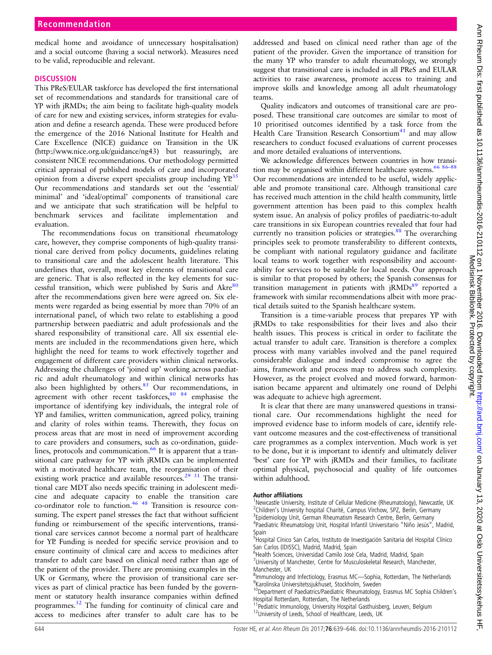medical home and avoidance of unnecessary hospitalisation) and a social outcome (having a social network). Measures need to be valid, reproducible and relevant.

#### **DISCUSSION**

This PReS/EULAR taskforce has developed the first international set of recommendations and standards for transitional care of YP with jRMDs; the aim being to facilitate high-quality models of care for new and existing services, inform strategies for evaluation and define a research agenda. These were produced before the emergence of the 2016 National Institute for Health and Care Excellence (NICE) guidance on Transition in the UK ([http://www.nice.org.uk/guidance/ng43\)](http://www.nice.org.uk/guidance/ng43) but reassuringly, are consistent NICE recommendations. Our methodology permitted critical appraisal of published models of care and incorporated opinion from a diverse expert specialists group including  $YP<sup>35</sup>$  $YP<sup>35</sup>$  $YP<sup>35</sup>$ Our recommendations and standards set out the 'essential/ minimal' and 'ideal/optimal' components of transitional care and we anticipate that such stratification will be helpful to benchmark services and facilitate implementation and evaluation.

The recommendations focus on transitional rheumatology care, however, they comprise components of high-quality transitional care derived from policy documents, guidelines relating to transitional care and the adolescent health literature. This underlines that, overall, most key elements of transitional care are generic. That is also reflected in the key elements for successful transition, which were published by Suris and Akre<sup>80</sup> after the recommendations given here were agreed on. Six elements were regarded as being essential by more than 70% of an international panel, of which two relate to establishing a good partnership between paediatric and adult professionals and the shared responsibility of transitional care. All six essential elements are included in the recommendations given here, which highlight the need for teams to work effectively together and engagement of different care providers within clinical networks. Addressing the challenges of 'joined up' working across paediatric and adult rheumatology and within clinical networks has also been highlighted by others. $85$  Our recommendations, in agreement with other recent taskforces, $8084$  emphasise the importance of identifying key individuals, the integral role of YP and families, written communication, agreed policy, training and clarity of roles within teams. Therewith, they focus on process areas that are most in need of improvement according to care providers and consumers, such as co-ordination, guide-lines, protocols and communication.<sup>[66](#page-7-0)</sup> It is apparent that a transitional care pathway for YP with jRMDs can be implemented with a motivated healthcare team, the reorganisation of their existing work practice and available resources.<sup>29</sup><sup>31</sup> The transitional care MDT also needs specific training in adolescent medicine and adequate capacity to enable the transition care co-ordinator role to function.<sup>[46 48](#page-6-0)</sup> Transition is resource consuming. The expert panel stresses the fact that without sufficient funding or reimbursement of the specific interventions, transitional care services cannot become a normal part of healthcare for YP. Funding is needed for specific service provision and to ensure continuity of clinical care and access to medicines after transfer to adult care based on clinical need rather than age of the patient of the provider. There are promising examples in the UK or Germany, where the provision of transitional care services as part of clinical practice has been funded by the government or statutory health insurance companies within defined programmes.<sup>[32](#page-6-0)</sup> The funding for continuity of clinical care and access to medicines after transfer to adult care has to be

Quality indicators and outcomes of transitional care are proposed. These transitional care outcomes are similar to most of 10 prioritised outcomes identified by a task force from the Health Care Transition Research Consortium<sup>[41](#page-6-0)</sup> and may allow researchers to conduct focused evaluations of current processes and more detailed evaluations of interventions.

We acknowledge differences between countries in how transition may be organised within different healthcare systems.<sup>66 86-88</sup> Our recommendations are intended to be useful, widely applicable and promote transitional care. Although transitional care has received much attention in the child health community, little government attention has been paid to this complex health system issue. An analysis of policy profiles of paediatric-to-adult care transitions in six European countries revealed that four had currently no transition policies or strategies.<sup>[88](#page-7-0)</sup> The overarching principles seek to promote transferability to different contexts, be compliant with national regulatory guidance and facilitate local teams to work together with responsibility and accountability for services to be suitable for local needs. Our approach is similar to that proposed by others; the Spanish consensus for transition management in patients with  $jRMDs<sup>89</sup>$  $jRMDs<sup>89</sup>$  $jRMDs<sup>89</sup>$  reported a framework with similar recommendations albeit with more practical details suited to the Spanish healthcare system.

Transition is a time-variable process that prepares YP with jRMDs to take responsibilities for their lives and also their health issues. This process is critical in order to facilitate the actual transfer to adult care. Transition is therefore a complex process with many variables involved and the panel required considerable dialogue and indeed compromise to agree the aims, framework and process map to address such complexity. However, as the project evolved and moved forward, harmonisation became apparent and ultimately one round of Delphi was adequate to achieve high agreement.

It is clear that there are many unanswered questions in transitional care. Our recommendations highlight the need for improved evidence base to inform models of care, identify relevant outcome measures and the cost-effectiveness of transitional care programmes as a complex intervention. Much work is yet to be done, but it is important to identify and ultimately deliver 'best' care for YP with jRMDs and their families, to facilitate optimal physical, psychosocial and quality of life outcomes within adulthood.

#### Author affiliations <sup>1</sup>

<sup>&</sup>lt;sup>1</sup>Newcastle University, Institute of Cellular Medicine (Rheumatology), Newcastle, UK <sup>2</sup>Children's University hospital Charité, Campus Virchow, SPZ, Berlin, Germany<br><sup>3</sup>Enidomialsoy Unit, German Phoumatism Besearch Contre, Berlin, Germany <sup>3</sup>Epidemiology Unit, German Rheumatism Research Centre, Berlin, Germany

<sup>&</sup>lt;sup>4</sup>Paediatric Rheumatology Unit, Hospital Infantil Universitario "Niño Jesús", Madrid, Spain

<sup>&</sup>lt;sup>5</sup>Hospital Cínico San Carlos, Instituto de Investigación Sanitaria del Hospital Clínico San Carlos (IDISSC), Madrid, Madrid, Spain

<sup>&</sup>lt;sup>6</sup>Health Sciences, Universidad Camilo José Cela, Madrid, Madrid, Spain <sup>7</sup>University of Manchester, Centre for Musculoskeletal Research, Manchester,

Manchester, UK <sup>8</sup> Immunology and Infectiology, Erasmus MC—Sophia, Rotterdam, The Netherlands

<sup>&</sup>lt;sup>9</sup>Karolinska Universitetssjukhuset, Stockholm, Sweden <sup>10</sup>Department of Paediatrics/Paediatric Rheumatology, Erasmus MC Sophia Children's

Hospital Rotterdam, Rotterdam, The Netherlands

<sup>&</sup>lt;sup>11</sup>Pediatric Immunology, University Hospital Gasthuisberg, Leuven, Belgium<br><sup>12</sup>University of Leeds, School of Healthcare, Leeds, UK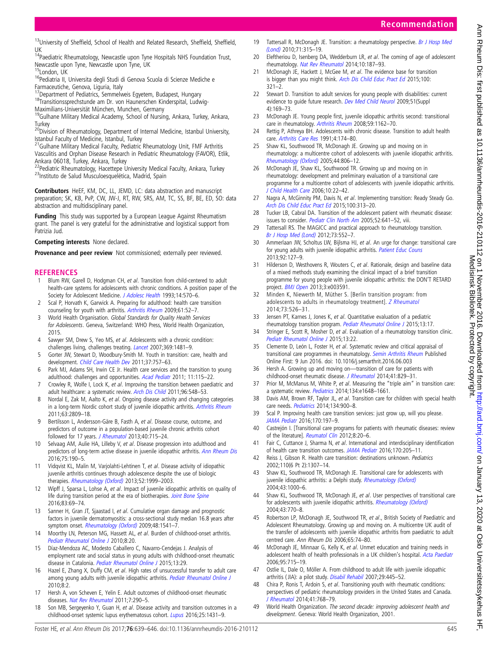<span id="page-6-0"></span><sup>13</sup>University of Sheffield, School of Health and Related Research, Sheffield, Sheffield,

UK 14Paediatric Rheumatology, Newcastle upon Tyne Hospitals NHS Foundation Trust, Newcastle upon Tyne, Newcastle upon Tyne, UK<br><sup>15</sup>London, UK

<sup>16</sup>Pediatria II, Universita degli Studi di Genova Scuola di Scienze Mediche e

Farmaceutiche, Genova, Liguria, Italy<br><sup>17</sup>Department of Pediatrics, Semmelweis Egyetem, Budapest, Hungary

18Transitionssprechstunde am Dr. von Haunerschen Kinderspital, Ludwig-

Maximilians-Universität München, Munchen, Germany

<sup>19</sup>Gulhane Military Medical Academy, School of Nursing, Ankara, Turkey, Ankara, **Turkey** 

<sup>20</sup>Division of Rheumatology, Department of Internal Medicine, Istanbul University, Istanbul Faculty of Medicine, Istanbul, Turkey

21Gulhane Military Medical Faculty, Pediatric Rheumatology Unit, FMF Arthritis Vasculitis and Orphan Disease Research in Pediatric Rheumatology (FAVOR), Etlik,

Ankara 06018, Turkey, Ankara, Turkey<br><sup>22</sup>Pediatric Rheumatology, Hacettepe University Medical Faculty, Ankara, Turkey<br><sup>23</sup>Instituto de Salud Musculoesquelética, Madrid, Spain

Contributors HeEF, KM, DC, LL, JEMD, LC: data abstraction and manuscript preparation; SK, KB, PvP, CW, JW-J, RT, RW, SRS, AM, TC, SS, BF, BE, ED, SO: data abstraction and multidisciplinary panel.

Funding This study was supported by a European League Against Rheumatism grant. The panel is very grateful for the administrative and logistical support from Patrizia Jud.

Competing interests None declared.

Provenance and peer review Not commissioned; externally peer reviewed.

#### **REFERENCES**

- 1 Blum RW, Garell D, Hodgman CH, et al. Transition from child-centered to adult health-care systems for adolescents with chronic conditions. A position paper of the Society for Adolescent Medicine. *[J Adolesc Health](http://dx.doi.org/10.1016/1054-139X(93)90143-D)* 1993;14:570-6.
- 2 Scal P, Horvath K, Garwick A. Preparing for adulthood: health care transition counseling for youth with arthritis. [Arthritis Rheum](http://dx.doi.org/10.1002/art.24088) 2009;61:52–7.
- 3 World Health Organisation. Global Standards for Quality Health Services for Adolescents. Geneva, Switzerland: WHO Press, World Health Organization, 2015.
- 4 Sawyer SM, Drew S, Yeo MS, et al. Adolescents with a chronic condition: challenges living, challenges treating. *[Lancet](http://dx.doi.org/10.1016/S0140-6736(07)60370-5)* 2007;369:1481-9.
- 5 Gorter JW, Stewart D, Woodbury-Smith M. Youth in transition: care, health and development. [Child Care Health Dev](http://dx.doi.org/10.1111/j.1365-2214.2011.01336.x) 2011;37:757–63.
- 6 Park MJ, Adams SH, Irwin CE Jr. Health care services and the transition to young adulthood: challenges and opportunities. [Acad Pediatr](http://dx.doi.org/10.1016/j.acap.2010.11.010) 2011; 11:115-22.
- 7 Crowley R, Wolfe I, Lock K, et al. Improving the transition between paediatric and adult healthcare: a systematic review. [Arch Dis Child](http://dx.doi.org/10.1136/adc.2010.202473) 2011;96:548-53.
- 8 Nordal E, Zak M, Aalto K, et al. Ongoing disease activity and changing categories in a long-term Nordic cohort study of juvenile idiopathic arthritis. [Arthritis Rheum](http://dx.doi.org/10.1002/art.30426) 2011;63:2809–18.
- 9 Bertilsson L, Andersson-Gäre B, Fasth A, et al. Disease course, outcome, and predictors of outcome in a population-based juvenile chronic arthritis cohort followed for 17 years. [J Rheumatol](http://dx.doi.org/10.3899/jrheum.120602) 2013;40:715–24.
- 10 Selvaag AM, Aulie HA, Lilleby V, et al. Disease progression into adulthood and predictors of long-term active disease in juvenile idiopathic arthritis. [Ann Rheum Dis](http://dx.doi.org/10.1136/annrheumdis-2014-206034) 2016;75:190–5.
- 11 Vidqvist KL, Malin M, Varjolahti-Lehtinen T, et al. Disease activity of idiopathic juvenile arthritis continues through adolescence despite the use of biologic therapies. [Rheumatology \(Oxford\)](http://dx.doi.org/10.1093/rheumatology/ket256) 2013;52:1999-2003.
- 12 Wipff J, Sparsa L, Lohse A, et al. Impact of juvenile idiopathic arthritis on quality of life during transition period at the era of biotherapies. [Joint Bone Spine](http://dx.doi.org/10.1016/j.jbspin.2015.03.005) 2016;83:69–74.
- 13 Sanner H, Gran JT, Sjaastad I, et al. Cumulative organ damage and prognostic factors in juvenile dermatomyositis: a cross-sectional study median 16.8 years after symptom onset. [Rheumatology \(Oxford\)](http://dx.doi.org/10.1093/rheumatology/kep302) 2009;48:1541-7.
- 14 Moorthy LN, Peterson MG, Hassett AL, et al. Burden of childhood-onset arthritis. [Pediatr Rheumatol Online J](http://dx.doi.org/10.1186/1546-0096-8-20) 2010;8:20.
- 15 Díaz-Mendoza AC, Modesto Caballero C, Navarro-Cendejas J. Analysis of employment rate and social status in young adults with childhood-onset rheumatic disease in Catalonia. [Pediatr Rheumatol Online J](http://dx.doi.org/10.1186/s12969-015-0026-8) 2015;13:29.
- 16 Hazel E, Zhang X, Duffy CM, et al. High rates of unsuccessful transfer to adult care among young adults with juvenile idiopathic arthritis. [Pediatr Rheumatol Online J](http://dx.doi.org/10.1186/1546-0096-8-2) 2010;8:2.
- 17 Hersh A, von Scheven E, Yelin E. Adult outcomes of childhood-onset rheumatic diseases. [Nat Rev Rheumatol](http://dx.doi.org/10.1038/nrrheum.2011.38) 2011;7:290-5.
- 18 Son MB, Sergeyenko Y, Guan H, et al. Disease activity and transition outcomes in a childhood-onset systemic lupus erythematosus cohort. [Lupus](http://dx.doi.org/10.1177/0961203316640913) 2016;25:1431-9.
- 19 Tattersall R, McDonagh JE. Transition: a rheumatology perspective. [Br J Hosp Med](http://dx.doi.org/10.12968/hmed.2010.71.6.48439) [\(Lond\)](http://dx.doi.org/10.12968/hmed.2010.71.6.48439) 2010;71:315–19.
- 20 Eleftheriou D, Isenberg DA, Wedderburn LR, et al. The coming of age of adolescent rheumatology. [Nat Rev Rheumatol](http://dx.doi.org/10.1038/nrrheum.2013.202) 2014;10:187-93.
- 21 McDonagh JE, Hackett J, McGee M, et al. The evidence base for transition is bigger than you might think. [Arch Dis Child Educ Pract Ed](http://dx.doi.org/10.1136/archdischild-2015-309204) 2015;100: 321–2.
- 22 Stewart D. Transition to adult services for young people with disabilities: current evidence to guide future research. [Dev Med Child Neurol](http://dx.doi.org/10.1111/j.1469-8749.2009.03419.x) 2009;51(Suppl 4):169–73.
- 23 McDonagh JE. Young people first, juvenile idiopathic arthritis second: transitional care in rheumatology. [Arthritis Rheum](http://dx.doi.org/10.1002/art.23928) 2008;59:1162-70.
- 24 Rettig P, Athreya BH. Adolescents with chronic disease. Transition to adult health care. [Arthritis Care Res](http://dx.doi.org/10.1002/art.1790040407) 1991;4:174-80.
- 25 Shaw KL, Southwood TR, McDonagh JE. Growing up and moving on in rheumatology: a multicentre cohort of adolescents with juvenile idiopathic arthritis. [Rheumatology \(Oxford\)](http://dx.doi.org/10.1093/rheumatology/keh603) 2005;44:806–12.
- 26 McDonagh JE, Shaw KL, Southwood TR. Growing up and moving on in rheumatology: development and preliminary evaluation of a transitional care programme for a multicentre cohort of adolescents with juvenile idiopathic arthritis. [J Child Health Care](http://dx.doi.org/10.1177/1367493506060203) 2006;10:22–42.
- 27 Nagra A, McGinnity PM, Davis N, et al. Implementing transition: Ready Steady Go. [Arch Dis Child Educ Pract Ed](http://dx.doi.org/10.1136/archdischild-2014-307423) 2015;100:313–20.
- 28 Tucker LB, Cabral DA. Transition of the adolescent patient with rheumatic disease: issues to consider. [Pediatr Clin North Am](http://dx.doi.org/10.1016/j.pcl.2005.01.008) 2005;52:641-52, viii.
- 29 Tattersall RS. The MAGICC and practical approach to rheumatology transition. [Br J Hosp Med \(Lond\)](http://dx.doi.org/10.12968/hmed.2012.73.10.552) 2012;73:552–7.
- 30 Ammerlaan JW, Scholtus LW, Bijlsma HJ, et al. An urge for change: transitional care for young adults with juvenile idiopathic arthritis. [Patient Educ Couns](http://dx.doi.org/10.1016/j.pec.2013.02.006) 2013;92:127–9.
- 31 Hilderson D, Westhovens R, Wouters C, et al. Rationale, design and baseline data of a mixed methods study examining the clinical impact of a brief transition programme for young people with juvenile idiopathic arthritis: the DON'T RETARD project. **[BMJ Open](http://dx.doi.org/10.1136/bmjopen-2013-003591) 2013;3:e003591.**
- 32 Minden K, Niewerth M, Müther S. [Berlin transition program: from adolescents to adults in rheumatology treatment]. [Z Rheumatol](http://dx.doi.org/10.1007/s00393-014-1377-0) 2014;73:526–31.
- 33 Jensen PT, Karnes J, Jones K, et al. Quantitative evaluation of a pediatric rheumatology transition program. [Pediatr Rheumatol Online J](http://dx.doi.org/10.1186/s12969-015-0013-0) 2015;13:17.
- 34 Stringer E, Scott R, Mosher D, et al. Evaluation of a rheumatology transition clinic. [Pediatr Rheumatol Online J](http://dx.doi.org/10.1186/s12969-015-0016-x) 2015;13:22.
- 35 Clemente D, León L, Foster H, et al. Systematic review and critical appraisal of transitional care programmes in rheumatology. [Semin Arthritis Rheum](http://dx.doi.org/10.1016/j.semarthrit.2016.06.003) Published Online First: 9 Jun 2016. doi: 10.1016/j.semarthrit.2016.06.003
- 36 Hersh A. Growing up and moving on—transition of care for patients with childhood-onset rheumatic disease. [J Rheumatol](http://dx.doi.org/10.3899/jrheum.140140) 2014;41:829-31.
- 37 Prior M, McManus M, White P, et al. Measuring the "triple aim" in transition care: a systematic review. [Pediatrics](http://dx.doi.org/10.1542/peds.2014-1704) 2014;134:e1648-1661.
- 38 Davis AM, Brown RF, Taylor JL, et al. Transition care for children with special health care needs. [Pediatrics](http://dx.doi.org/10.1542/peds.2014-1909) 2014;134:900-8.
- 39 Scal P. Improving health care transition services: just grow up, will you please. [JAMA Pediatr](http://dx.doi.org/10.1001/jamapediatrics.2015.3268) 2016;170:197–9.
- 40 Castrejón I. [Transitional care programs for patients with rheumatic diseases: review of the literature]. [Reumatol Clin](http://dx.doi.org/10.1016/j.reuma.2011.06.008) 2012;8:20-6.
- 41 Fair C, Cuttance J, Sharma N, et al. International and interdisciplinary identification of health care transition outcomes. [JAMA Pediatr](http://dx.doi.org/10.1001/jamapediatrics.2015.3168) 2016;170:205–11.
- 42 Reiss J, Gibson R. Health care transition: destinations unknown. Pediatrics 2002;110(6 Pt 2):1307–14.
- 43 Shaw KL, Southwood TR, McDonagh JE. Transitional care for adolescents with juvenile idiopathic arthritis: a Delphi study. [Rheumatology \(Oxford\)](http://dx.doi.org/10.1093/rheumatology/keh216) 2004;43:1000–6.
- 44 Shaw KL, Southwood TR, McDonagh JE, et al. User perspectives of transitional care for adolescents with juvenile idiopathic arthritis. [Rheumatology \(Oxford\)](http://dx.doi.org/10.1093/rheumatology/keh175) 2004;43:770–8.
- 45 Robertson LP, McDonagh JE, Southwood TR, et al., British Society of Paediatric and Adolescent Rheumatology. Growing up and moving on. A multicentre UK audit of the transfer of adolescents with juvenile idiopathic arthritis from paediatric to adult centred care. Ann Rheum Dis 2006;65:74–80.
- 46 McDonagh JE, Minnaar G, Kelly K, et al. Unmet education and training needs in adolescent health of health professionals in a UK children's hospital. [Acta Paediatr](http://dx.doi.org/10.1080/08035250500449858) 2006;95:715–19.
- 47 Ostlie IL, Dale O, Möller A. From childhood to adult life with juvenile idiopathic arthritis (JIA): a pilot study. [Disabil Rehabil](http://dx.doi.org/10.1080/09638280600835994) 2007;29:445-52.
- 48 Chira P, Ronis T, Ardoin S, et al. Transitioning youth with rheumatic conditions: perspectives of pediatric rheumatology providers in the United States and Canada. [J Rheumatol](http://dx.doi.org/10.3899/jrheum.130615) 2014;41:768–79.
- 49 World Health Organization. The second decade: improving adolescent health and development. Geneva: World Health Organization, 2001.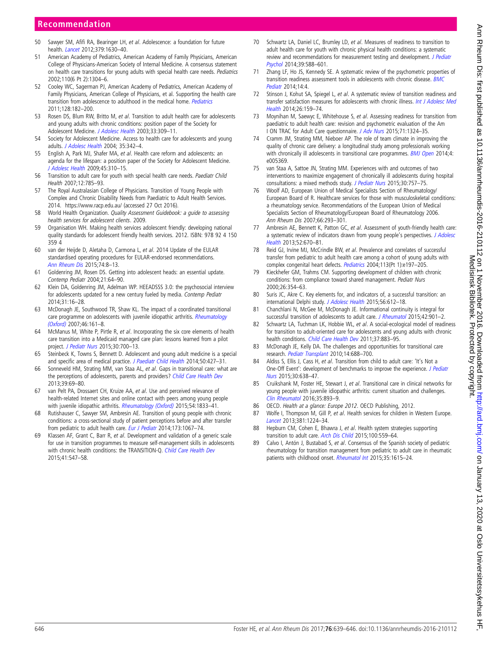#### <span id="page-7-0"></span>**Recommendation**

- 50 Sawyer SM, Afifi RA, Bearinger LH, et al. Adolescence: a foundation for future health. [Lancet](http://dx.doi.org/10.1016/S0140-6736(12)60072-5) 2012;379:1630–40.
- 51 American Academy of Pediatrics, American Academy of Family Physicians, American College of Physicians-American Society of Internal Medicine. A consensus statement on health care transitions for young adults with special health care needs. Pediatrics 2002;110(6 Pt 2):1304–6.
- 52 Cooley WC, Sagerman PJ, American Academy of Pediatrics, American Academy of Family Physicians, American College of Physicians, et al. Supporting the health care transition from adolescence to adulthood in the medical home. [Pediatrics](http://dx.doi.org/10.1542/peds.2011-0969) 2011;128:182–200.
- 53 Rosen DS, Blum RW, Britto M, et al. Transition to adult health care for adolescents and young adults with chronic conditions: position paper of the Society for Adolescent Medicine. [J Adolesc Health](http://dx.doi.org/10.1016/S1054-139X(03)00208-8) 2003;33:309–11.
- 54 Society for Adolescent Medicine. Access to health care for adolescents and young adults. [J Adolesc Health](http://dx.doi.org/10.1016/S1054-139X(04)00100-4) 2004; 35:342–4.
- 55 English A, Park MJ, Shafer MA, et al. Health care reform and adolescents: an agenda for the lifespan: a position paper of the Society for Adolescent Medicine. [J Adolesc Health](http://dx.doi.org/10.1016/j.jadohealth.2009.06.001) 2009;45:310–15.
- 56 Transition to adult care for youth with special health care needs. Paediatr Child Health 2007;12:785–93.
- 57 The Royal Australasian College of Physicians. Transition of Young People with Complex and Chronic Disability Needs from Paediatric to Adult Health Services. 2014.<https://www.racp.edu.au/> (accessed 27 Oct 2016).
- 58 World Health Organization. Quality Assessment Guidebook: a guide to assessing health services for adolescent clients. 2009.
- 59 Organisation WH. Making health services adolescent friendly: developing national quality standards for adolescent friendly health services. 2012. ISBN: 978 92 4 150 359 4
- 60 van der Heijde D, Aletaha D, Carmona L, et al. 2014 Update of the EULAR standardised operating procedures for EULAR-endorsed recommendations. [Ann Rheum Dis](http://dx.doi.org/10.1136/annrheumdis-2014-206350) 2015;74:8–13.
- 61 Goldenring JM, Rosen DS. Getting into adolescent heads: an essential update. Contemp Pediatr 2004;21:64–90.
- 62 Klein DA, Goldenring JM, Adelman WP. HEEADSSS 3.0: the psychosocial interview for adolescents updated for a new century fueled by media. Contemp Pediatr 2014;31:16–28.
- 63 McDonagh JE, Southwood TR, Shaw KL. The impact of a coordinated transitional care programme on adolescents with juvenile idiopathic arthritis. [Rheumatology](http://dx.doi.org/10.1093/rheumatology/kel198) [\(Oxford\)](http://dx.doi.org/10.1093/rheumatology/kel198) 2007;46:161–8.
- 64 McManus M, White P, Pirtle R, et al. Incorporating the six core elements of health care transition into a Medicaid managed care plan: lessons learned from a pilot project. [J Pediatr Nurs](http://dx.doi.org/10.1016/j.pedn.2015.05.029) 2015;30:700–13.
- 65 Steinbeck K, Towns S, Bennett D. Adolescent and young adult medicine is a special and specific area of medical practice. [J Paediatr Child Health](http://dx.doi.org/10.1111/jpc.12491) 2014;50:427-31.
- 66 Sonneveld HM, Strating MM, van Staa AL, et al. Gaps in transitional care: what are the perceptions of adolescents, parents and providers? [Child Care Health Dev](http://dx.doi.org/10.1111/j.1365-2214.2011.01354.x) 2013;39:69–80.
- 67 van Pelt PA, Drossaert CH, Kruize AA, et al. Use and perceived relevance of health-related Internet sites and online contact with peers among young people with juvenile idiopathic arthritis. [Rheumatology \(Oxford\)](http://dx.doi.org/10.1093/rheumatology/kev193) 2015;54:1833-41.
- 68 Rutishauser C, Sawyer SM, Ambresin AE. Transition of young people with chronic conditions: a cross-sectional study of patient perceptions before and after transfer from pediatric to adult health care. [Eur J Pediatr](http://dx.doi.org/10.1007/s00431-014-2291-9) 2014;173:1067-74.
- 69 Klassen AF, Grant C, Barr R, et al. Development and validation of a generic scale for use in transition programmes to measure self-management skills in adolescents with chronic health conditions: the TRANSITION-Q. [Child Care Health Dev](http://dx.doi.org/10.1111/cch.12207) 2015;41:547–58.
- 70 Schwartz LA, Daniel LC, Brumley LD, et al. Measures of readiness to transition to adult health care for youth with chronic physical health conditions: a systematic review and recommendations for measurement testing and development. *[J Pediatr](http://dx.doi.org/10.1093/jpepsy/jsu028)* [Psychol](http://dx.doi.org/10.1093/jpepsy/jsu028) 2014;39:588–601.
- 71 Zhang LF, Ho JS, Kennedy SE. A systematic review of the psychometric properties of transition readiness assessment tools in adolescents with chronic disease. [BMC](http://dx.doi.org/10.1186/1471-2431-14-4) [Pediatr](http://dx.doi.org/10.1186/1471-2431-14-4) 2014;14:4.
- 72 Stinson J, Kohut SA, Spiegel L, et al. A systematic review of transition readiness and transfer satisfaction measures for adolescents with chronic illness. [Int J Adolesc Med](http://dx.doi.org/10.1515/ijamh-2013-0512) [Health](http://dx.doi.org/10.1515/ijamh-2013-0512) 2014;26:159–74.
- 73 Moynihan M, Saewyc E, Whitehouse S, et al. Assessing readiness for transition from paediatric to adult health care: revision and psychometric evaluation of the Am I ON TRAC for Adult Care questionnaire. [J Adv Nurs](http://dx.doi.org/10.1111/jan.12617) 2015;71:1324-35.
- 74 Cramm JM, Strating MM, Nieboer AP. The role of team climate in improving the quality of chronic care delivery: a longitudinal study among professionals working with chronically ill adolescents in transitional care programmes. [BMJ Open](http://dx.doi.org/10.1136/bmjopen-2014-005369) 2014;4: e005369.
- 75 van Staa A, Sattoe JN, Strating MM. Experiences with and outcomes of two interventions to maximize engagement of chronically ill adolescents during hospital consultations: a mixed methods study. [J Pediatr Nurs](http://dx.doi.org/10.1016/j.pedn.2015.05.028) 2015;30:757-75.
- 76 Woolf AD, European Union of Medical Specialists Section of Rheumatology/ European Board of R. Healthcare services for those with musculoskeletal conditions: a rheumatology service. Recommendations of the European Union of Medical Specialists Section of Rheumatology/European Board of Rheumatology 2006. Ann Rheum Dis 2007;66:293–301.
- 77 Ambresin AE, Bennett K, Patton GC, et al. Assessment of youth-friendly health care: a systematic review of indicators drawn from young people's perspectives. [J Adolesc](http://dx.doi.org/10.1016/j.jadohealth.2012.12.014) [Health](http://dx.doi.org/10.1016/j.jadohealth.2012.12.014) 2013;52:670–81.
- 78 Reid GJ, Irvine MJ, McCrindle BW, et al. Prevalence and correlates of successful transfer from pediatric to adult health care among a cohort of young adults with complex congenital heart defects. [Pediatrics](http://dx.doi.org/10.1542/peds.113.3.e197) 2004;113(Pt 1):e197-205.
- 79 Kieckhefer GM, Trahms CM. Supporting development of children with chronic conditions: from compliance toward shared management. Pediatr Nurs 2000;26:354–63.
- 80 Suris JC, Akre C. Key elements for, and indicators of, a successful transition: an international Delphi study. [J Adolesc Health](http://dx.doi.org/10.1016/j.jadohealth.2015.02.007) 2015;56:612-18.
- 81 Chanchlani N, McGee M, McDonagh JE. Informational continuity is integral for successful transition of adolescents to adult care. *[J Rheumatol](http://dx.doi.org/10.3899/jrheum.141364)* 2015;42:901-2.
- 82 Schwartz LA, Tuchman LK, Hobbie WL, et al. A social-ecological model of readiness for transition to adult-oriented care for adolescents and young adults with chronic health conditions. [Child Care Health Dev](http://dx.doi.org/10.1111/j.1365-2214.2011.01282.x) 2011;37:883-95.
- 83 McDonagh JE, Kelly DA. The challenges and opportunities for transitional care research. [Pediatr Transplant](http://dx.doi.org/10.1111/j.1399-3046.2010.01343.x) 2010;14:688–700.
- 84 Aldiss S, Ellis J, Cass H, et al. Transition from child to adult care: 'It's Not a One-Off Event': development of benchmarks to improve the experience. [J Pediatr](http://dx.doi.org/10.1016/j.pedn.2015.05.020) [Nurs](http://dx.doi.org/10.1016/j.pedn.2015.05.020) 2015;30:638–47.
- 85 Cruikshank M, Foster HE, Stewart J, et al. Transitional care in clinical networks for young people with juvenile idiopathic arthritis: current situation and challenges. [Clin Rheumatol](http://dx.doi.org/10.1007/s10067-015-2950-x) 2016;35:893–9.
- 86 OECD. Health at a glance: Europe 2012. OECD Publishing, 2012.
- 87 Wolfe I, Thompson M, Gill P, et al. Health services for children in Western Europe. [Lancet](http://dx.doi.org/10.1016/S0140-6736(12)62085-6) 2013;381:1224–34.
- 88 Hepburn CM, Cohen E, Bhawra J, et al. Health system strategies supporting transition to adult care. [Arch Dis Child](http://dx.doi.org/10.1136/archdischild-2014-307320) 2015;100:559-64.
- 89 Calvo I, Antón J, Bustabad S, et al. Consensus of the Spanish society of pediatric rheumatology for transition management from pediatric to adult care in rheumatic patients with childhood onset. [Rheumatol Int](http://dx.doi.org/10.1007/s00296-015-3273-6) 2015;35:1615-24.